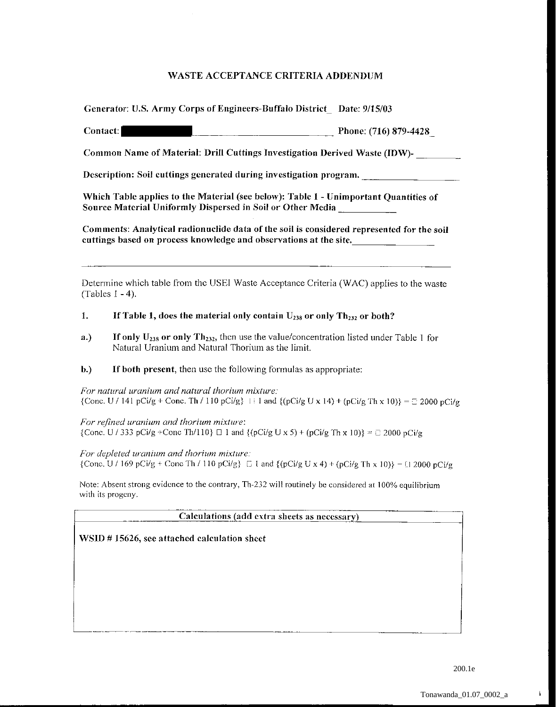|          | Generator: U.S. Army Corps of Engineers-Buffalo District Date: 9/15/03                                                                                         |
|----------|----------------------------------------------------------------------------------------------------------------------------------------------------------------|
| Contact: | Phone: $(716)$ 879-4428                                                                                                                                        |
|          | Common Name of Material: Drill Cuttings Investigation Derived Waste (IDW)-                                                                                     |
|          | Description: Soil cuttings generated during investigation program.                                                                                             |
|          | Which Table applies to the Material (see below): Table 1 - Unimportant Quantities of<br>Source Material Uniformly Dispersed in Soil or Other Media             |
|          | Comments: Analytical radionuclide data of the soil is considered represented for the soil<br>euttings based on process knowledge and observations at the site. |
|          |                                                                                                                                                                |
|          | $\mathcal{D}$ , the different $\mathcal{D}$ is the contract of $\mathcal{D}$ is the contract of $\mathcal{D}$                                                  |

Determine which table from the USE! Waste Acceptance Criteria (WAC) applies to the waste  $(Tables 1 - 4).$ 

## 1. If Table 1, does the material only contain  $U_{238}$  or only Th<sub>232</sub> or both?

- a.) If only  $U_{238}$  or only Th<sub>232</sub>, then use the value/concentration listed under Table 1 for Natural Uranium and Natural Thorium as the limit.
- b.) If both present, then use the following formulas as appropriate:

*For natural uranium and natural thorium mixture:*  {Cone. U / 141 pCi/g + Cone. Th / 110 pCi/g}  $\{ \pm 1 \text{ and } \{ (\text{pCi/g U x 14}) + (\text{pCi/g Th x 10)} \} = \exists 2000 \text{ pCi/g}$ 

*For refined uranium and thorium mixture:*  {Cone. U / 333 pCi/g +Cone Th/110}  $\Box$  1 and {(pCi/g U x 5) + (pCi/g Th x 10)} =  $\Box$  2000 pCi/g

*For depleted uranium and thorium mixture:*  {Cone. U / 169 pCi/g + Cone Th / 110 pCi/g}  $\Box$  I and { (pCi/g U x 4) + (pCi/g Th x 10)} =  $\Box$  2000 pCi/g

Note: Absent strong evidence to the contrary, Th-232 will routinely be considered at 100% equilibrium with its progeny.

**Calculations (add extra sheets as necessary)** 

 $\mathcal{L}_\text{L}$ 

WSID # 15626, see attached calculation sheet

ţ.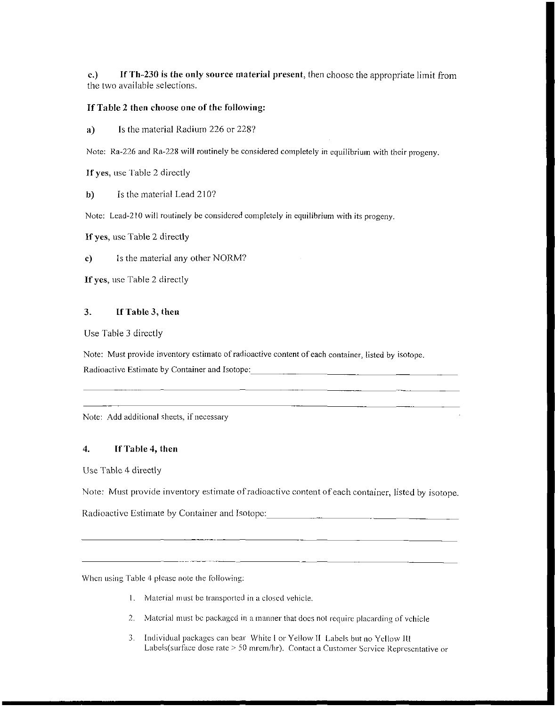c.) IfTh-230 is the only source material present, then choose the appropriate limit from the two available selections.

## If Table 2 then choose one of the following:

a) Is the material Radium 226 or 228?

Note: Ra-226 and Ra-228 will routinely be considered completely in equilibrium with their progeny.

If yes, use Table 2 directly

b) Is the material Lead 210?

Note: Lead-210 will routinely be considered completely in equilibrium with its progeny.

If yes, usc Table 2 directly

c) Is the material any other NORM?

If yes, usc Table 2 directly

## 3. If Table 3, then

Use Table 3 directly

Note: Must provide inventory estimate of radioactive content of each container, listed by isotope. Radioactive Estimate by Container and Isotope:

Note: Add additional sheets, if necessary

## 4. If Table 4, then

Use Table 4 directly

Note: Must provide inventory estimate of radioactive content of each container, listed by isotope.

Radioactive Estimate by Container and Isotope: \_\_\_\_\_\_\_\_\_\_\_\_\_\_\_\_\_\_\_\_\_\_\_\_\_\_\_\_\_\_\_\_\_

When using Table 4 please note the following:

-------- - ----

- 1. Material must be transported in a closed vehicle.
- 2. Material must be packaged in a manner that docs not require placarding of vehicle
- 3. Individual packages can bear White I or Yellow II Labels but no Yellow IU Labels(surface dose rate > 50 mrem/hr). Contact a Customer Service Representative or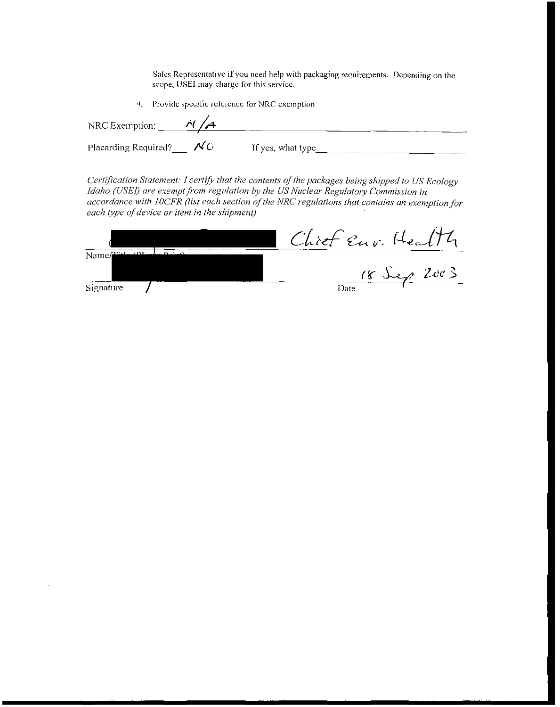**Sales Representative if you need help with packaging requirements. Depending on the scope, USEI may charge for this service.** 

**4. Provide specific reference for NRC exemption** 

| NRC Exemption:       |    |                   |
|----------------------|----|-------------------|
| Placarding Required? | AC | If yes, what type |

*Certification Statement: 1 certify that the contents of the packages being shipped to US Ecology Idaho (USEI) are exempt from regulation by the US Nuclear Regulatory Commission in accordance with JOCFR (list each section of the NRC regulations that contains an exemption for each type of device or item in the shipment)* 

|           | Chief Eur. Healt |
|-----------|------------------|
| Name/     |                  |
|           | $18$ Sep $2003$  |
| Signature | Date             |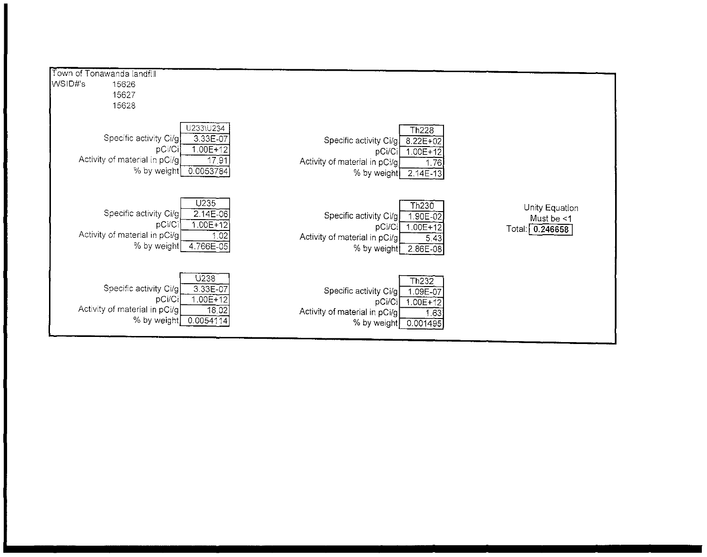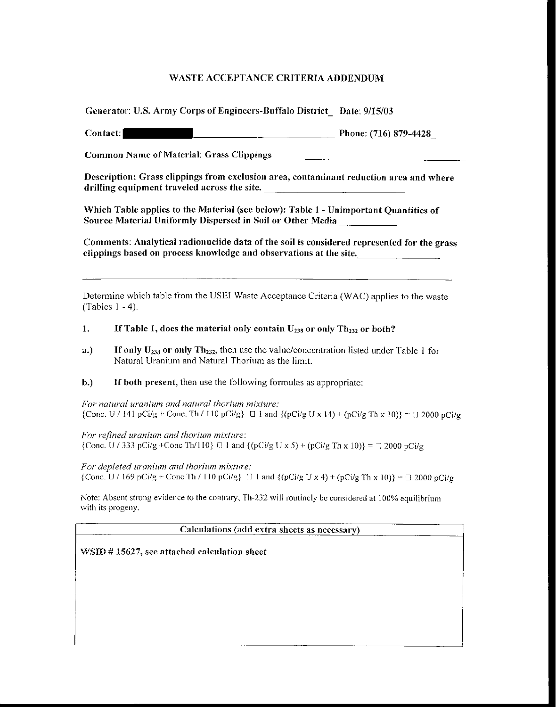|  |  |  | Generator: U.S. Army Corps of Engineers-Buffalo District_ Date: 9/15/03 |
|--|--|--|-------------------------------------------------------------------------|
|  |  |  |                                                                         |

Contact: Phone: (716) 879-4428

Common Name of Material: Grass Clippings

**Description: Grass clippings from exclusion area, contaminant reduction area and where**  drilling equipment traveled across the site.

Which Table applies to the Material (see below): Tahle 1- Unimportant Quantities of Source Material Uniformly Dispersed in Soil or Other Media

Comments: Analytical radionuclide data of the soil is considered represented for the grass clippings based on process knowledge and observations at the site.

Determine which table from the USE! Waste Acceptance Criteria (WAC) applies to the waste (Tables I - 4).

## 1. If Table 1, does the material only contain  $U_{238}$  or only Th<sub>232</sub> or both?

- a.) If only  $U_{238}$  or only Th<sub>232</sub>, then use the value/concentration listed under Table 1 for Natural Uranium and Natural Thorium as the limit.
- b.) If both present, then use the following formulas as appropriate:

*For natural uranium and natural thorium mixture:*  {Cone. U / 141 pCi/g + Cone. Th / 110 pCi/g}  $\Box$  1 and {(pCi/g U x 14) + (pCi/g Th x 10)} =  $\Box$  2000 pCi/g

*For refined uranium and thorium mixture:*  {Cone. U / 333 pCi/g + Conc Th/110}  $\Box$  1 and {(pCi/g U x 5) + (pCi/g Th x 10)} =  $\Box$  2000 pCi/g

*For depleted uranium and thorium mixture:*  {Cone. U / 169 pCi/g + Cone Th / 110 pCi/g}  $\Box$  I and {(pCi/g U x 4) + (pCi/g Th x 10)} =  $\Box$  2000 pCi/g

Note: Absent strong evidence to the contrary, Th-232 will routinely be considered at 100% equilibrium with its progeny.

Calculations (add extra sheets as necessarv)

WSID # 15627, see attached calculation sheet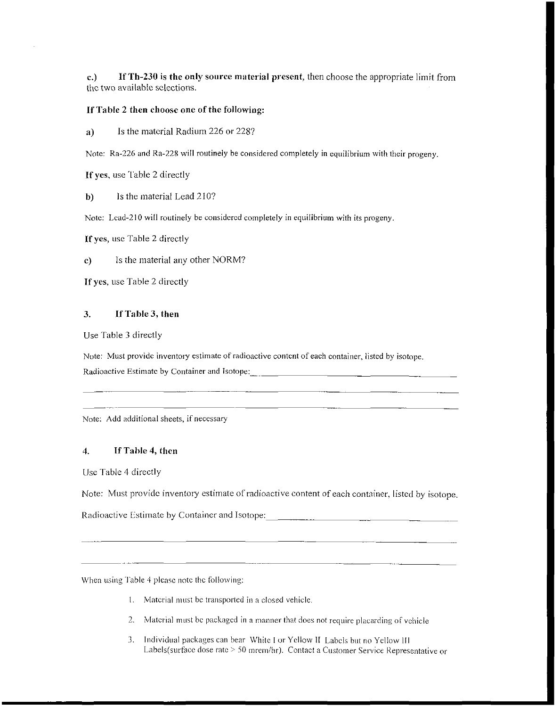c.) If Th-230 is the only source material present, then choose the appropriate limit from the two available selections.

### If Table 2 then choose one of the following:

a) Is the material Radium 226 or 228?

Note: Ra-226 and Ra-228 will routinely be considered completely in equilibrium with their progeny.

If yes, usc Table 2 directly

b) Is the material Lead 210?

Note: Lcad-210 will routinely be considered completely in equilibrium with its progeny.

If yes, usc Table 2 directly

c) Is the material any other NORM?

If yes, use Table 2 directly

## 3. If Table 3, then

Use Table 3 directly

Note: Must provide inventory estimate of radioactive content of each container, listed by isotope. Radioactive Estimate by Container and Isotope:

Note: Add additional sheets, if necessary

## 4. If Table 4, then

Use Table 4 directly

Note: Must provide inventory estimate of radioactive content of each container, listed by isotope.

Radioactive Estimate by Container and Isotope: \_\_\_\_\_\_\_\_\_\_\_\_\_\_\_\_\_\_\_\_\_\_\_\_\_\_\_\_\_\_\_\_\_

When using Table 4 please note the following:

- \. Material must be transported in a closed vehicle.
- 2. Material must be packaged in a manner that does not require placarding of vehicle
- 3. Individual packages can bear \Vhitc I or Yellow II Labels but no Yellow III Labels(surface dose rate > 50 mrem/hr). Contact a Customer Service Representative or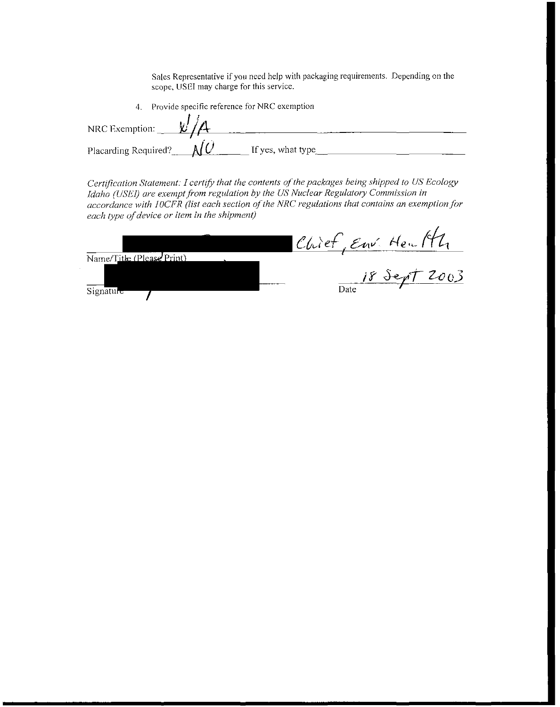**Sates Representative if you need help with packaging requirements. Depending on the scope, USEI may charge for this service.** 

|                      |   | Provide specific reference for NRC exemption |  |
|----------------------|---|----------------------------------------------|--|
| NRC Exemption:       | V |                                              |  |
| Placarding Required? |   | If yes, what type                            |  |

*Certification Statement: I certifY that the contents of the packages being shipped to US Ecology Idaho (USE!) are exempt from regulation by the US Nuclear Regulatory Commission in*  accordance with *IOCFR* (list each section of the NRC regulations that contains an exemption for *each type uf device or item in the shipment)* 

|                           | Chief, Env. Health |
|---------------------------|--------------------|
| Name/Title (Please Print) |                    |
|                           | 18 Sept 2003       |
| Signature                 | Date               |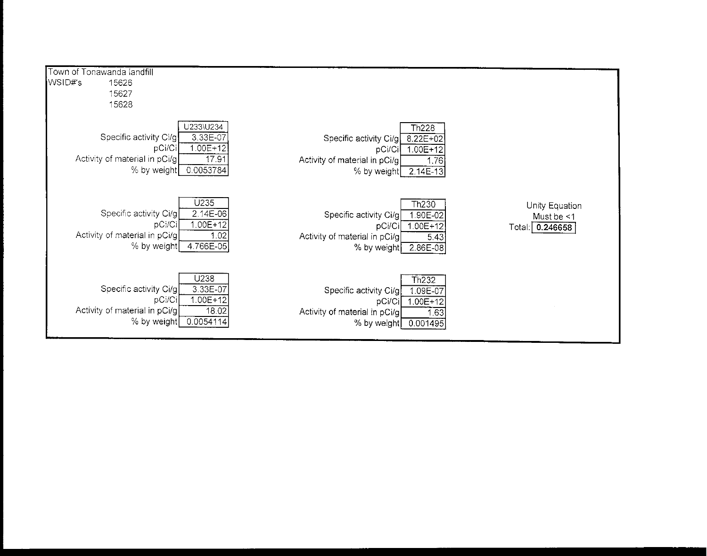| Town of Tonawanda landfill                                                                                                                        |                                                                                                                                                         |                                                 |
|---------------------------------------------------------------------------------------------------------------------------------------------------|---------------------------------------------------------------------------------------------------------------------------------------------------------|-------------------------------------------------|
| WSID#'s<br>15626                                                                                                                                  |                                                                                                                                                         |                                                 |
| 15627                                                                                                                                             |                                                                                                                                                         |                                                 |
| 15628                                                                                                                                             |                                                                                                                                                         |                                                 |
| U233\U234<br>3.33E-07<br>Specific activity Ci/g!<br>$1.00E + 12$<br>pCi/Ci<br>17.91<br>Activity of material in pCi/g <br>0.0053784<br>% by weight | Th <sub>228</sub><br>8.22E+02<br>Specific activity Ci/g<br>$1.00E + 12$<br>pCi/Ci<br>Activity of material in pCi/g<br>1.76<br>$2.14E-13$<br>% by weight |                                                 |
| U235<br>2.14E-06<br>Specific activity Ci/g<br>$1.00E + 12$<br>pCi/Ci<br>Activity of material in pCi/g<br>1.02<br>4.766E-05<br>% by weight         | Th <sub>230</sub><br>1.90E-02<br>Specific activity Ci/g<br>$1.00E+12$<br>pCi/Ci<br>Activity of material in pCi/g<br>5.43<br>% by weight<br>2.86E-08     | Unity Equation<br>Must be <1<br>Total: 0.246658 |
| U238<br>3.33E-07<br>Specific activity Ci/g<br>1.00E+12<br>pCi/Ci<br>Activity of material in pCi/g<br>18.02<br>0.0054114<br>% by weight            | <b>Th232</b><br>Specific activity Ci/g<br>109E-07<br>pCi/Ci<br>$1.00E + 12$<br>Activity of material in pCi/g<br>1.63<br>% by weight<br>0.001495         |                                                 |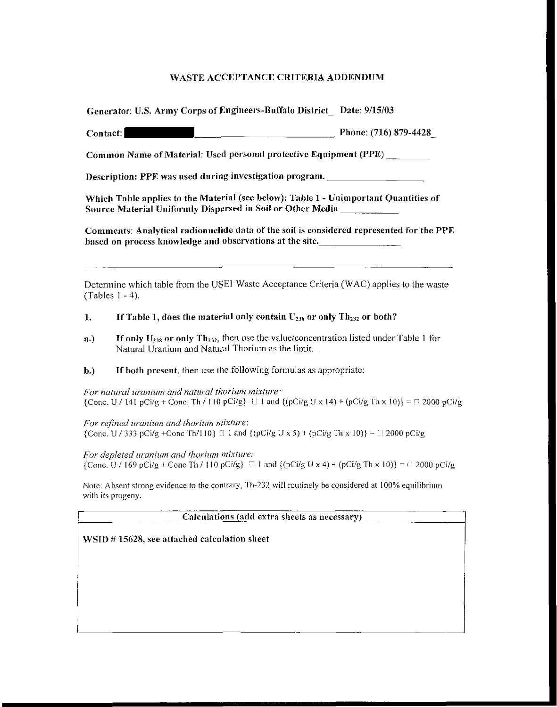| Generator: U.S. Army Corps of Engineers-Buffalo District_ Date: 9/15/03 |  |
|-------------------------------------------------------------------------|--|
|-------------------------------------------------------------------------|--|

Contact: \_\_\_\_\_\_\_\_\_\_\_\_ Phone: (716) 879-4428

Common Name of Material: Used personal protective Equipment (PPE) \_\_\_ \_

Description: PPE was used during investigation program.

Which Table applies to the Material (see below): Table I- Unimportant Quantities of Source Material Uniformly Dispersed in Soil or Other Media

Comments: Analytical radionuclide data of the soil is considered represented for the PPE based on process knowledge and observations at the site.

Detennine which table from the USEI Waste Acceptance Criteria (WAC) applies to the waste (Tables I - 4).

## 1. If Table 1, does the material only contain  $U_{238}$  or only Th<sub>232</sub> or both?

- a.) If only  $U_{238}$  or only Th<sub>232</sub>, then use the value/concentration listed under Table 1 for Natural Uranium and Natural Thorium as the limit.
- b.) If both present, then use the following formulas as appropriate:

*For natural uranium and natural thorium mixture:*  {Cone. U / 141 pCi/g + Cone. Th / I10 pCi/g}  $\Box$  1 and {(pCi/g U x 14) + (pCi/g Th x 10)} =  $\Box$  2000 pCi/g

*For refined uranium and thorium mixture:* {Cone. U / 333 pCi/g +Cone Th/110}  $\Box$  1 and {(pCi/g U x 5) + (pCi/g Th x 10)} = i ! 2000 pCi/g

*For depleted uranium and thorium mixture:*   ${\rm [Conc, U]}/169$  pCi/g + Cone Th / 110 pCi/g  $\Box$  1 and  ${\rm [OC]/g U x 4}$  + (pCi/g Th x 10) ${\rm [O(1)]/g U x 3}$  + (pCi/g Th x 10) ${\rm [O(1)]/g U x 4}$ 

Note: Absent strong evidence to the contrary, Th-232 will routinely be considered at 100% equilibrium with its progeny.

Calculations (add extra sheets as necessary)

'--------------------------------------------------------

WSID #15628, see attached calculation sheet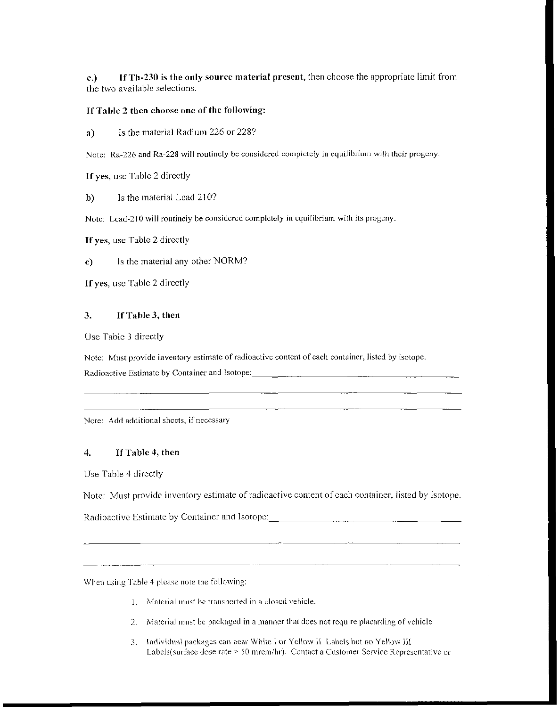c.) If Th-230 is the only source material present, then choose the appropriate limit from the two available selections.

## If Table 2 then choose one of the following:

a) Is the material Radium 226 or 228?

Note: Ra-226 and Ra-228 will routinely be considered completely in equilibrium with their progeny.

If yes, usc Table 2 directly

b) Is the material Lead 210?

Note: Lead-210 **will** routinely be considered completely **in** equilibrium with its progeny.

If yes, use Table 2 directly

c) Is the material any other NORM?

If yes, usc Table 2 directly

## 3. If Table 3, then

Use Table 3 directly

Note: Must provide inventory estimate of radioactive content of each container, listed by isotope. Radioactive Estimate by Container and Isotope:

Note: Add additional sheets, if necessary

## 4. If Table 4, then

Use Table 4 directly

Note: Must provide inventory estimate of radioactive content of each container, listed by isotope.

100mm - 100mm - 100mm

Radioactive Estimate by Container and Isotope: \_\_\_\_\_\_\_\_\_\_\_\_\_\_\_\_\_\_\_\_\_\_\_\_\_\_\_\_\_\_\_\_\_

\Vhen using Table 4 please note the following:

- --~-----~--------

- I. Material must be transported in a closed vehicle.
- 2. Material must be packaged in a manner that does not require placarding of vehicle
- *3.* Individual packages can bear White I or Yellow ll Labels but no Yellow lii Labels(surface dose rate > 50 mrem/hr). Contact a Customer Service Representative or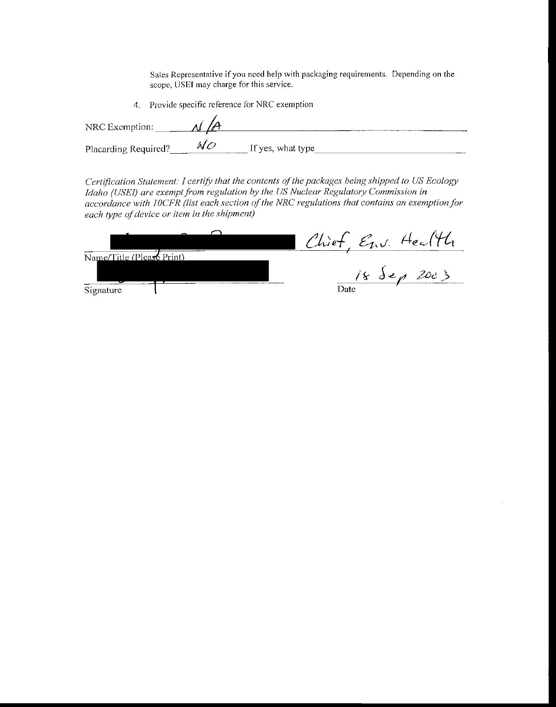**Sales Representative if you need help with packaging requirements. Depending on the scope, USEI may charge for this service.** 

**4. Provide specific reference for NRC exemption** 

| NRC Exemption:       |                   |  |
|----------------------|-------------------|--|
| Placarding Required? | If yes, what type |  |

*Certification Statement: I certify that the contents of the packages being shipped to US Ecology*  Let *influencement in the US nuclear Polymann Idaho (USEI) are exempt from regulation by the US Nuclear Regulatory Commission in accordance with JOCFR (list each section of the NRC regulations that contains an exemption for each type of device or item in the shipment)* 

|                           | Chief Env. Heal |
|---------------------------|-----------------|
| Name/Title (Please Print) |                 |
|                           | 18 dep 2003     |
| Signature                 | Date            |

 $\bar{z}$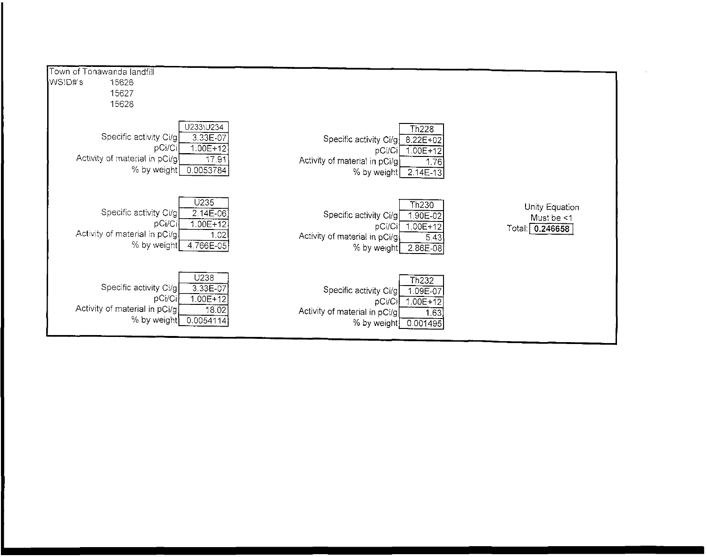| Town of Tonawanda landfill                                                        |                                                             |                                                                                   |                                                                       |                                                    |
|-----------------------------------------------------------------------------------|-------------------------------------------------------------|-----------------------------------------------------------------------------------|-----------------------------------------------------------------------|----------------------------------------------------|
| WSID#'s<br>15626                                                                  |                                                             |                                                                                   |                                                                       |                                                    |
|                                                                                   |                                                             |                                                                                   |                                                                       |                                                    |
| 15627                                                                             |                                                             |                                                                                   |                                                                       |                                                    |
| 15628                                                                             |                                                             |                                                                                   |                                                                       |                                                    |
| Specific activity Ci/g<br>pCi/Ci<br>Activity of material in pCi/g<br>% by weight  | U233\U234<br>3.33E-07<br>$1.00E + 12$<br>17.91<br>0.0053784 | Specific activity Ci/g<br>pCi/Ci<br>Activity of material in pCi/g)<br>% by weight | Th <sub>228</sub><br>8.22E+02<br>$1.00E+12$<br>1.76<br>$2.14E-13$     |                                                    |
| Specific activity Ci/g<br>pCi/Ci<br>Activity of material in pCi/g.<br>% by weight | U235<br>2.14E-06<br>$1.00E + 12$<br>1.02<br>4.766E-05       | Specific activity Ci/g<br>pCi/Ci<br>Activity of material in pCi/g<br>% by weight  | Th <sub>230</sub><br>1.90E-02<br>$1.00E + 12$<br>5.43<br>$2.86E - 08$ | Unity Equation<br>Must be <1<br>0.246658<br>Total: |
| Specific activity Ci/g<br>pCi/Ci<br>Activity of material in pCi/g<br>% by weight) | U238<br>3.33E-07<br>$1.00E + 12$<br>18.02<br>0.0054114      | Specific activity Ci/g<br>pCi/Ci<br>Activity of material in pCi/g<br>% by weight  | Th <sub>232</sub><br>1.09E-07<br>$1.00E+12$<br>1.63<br>0.001495       |                                                    |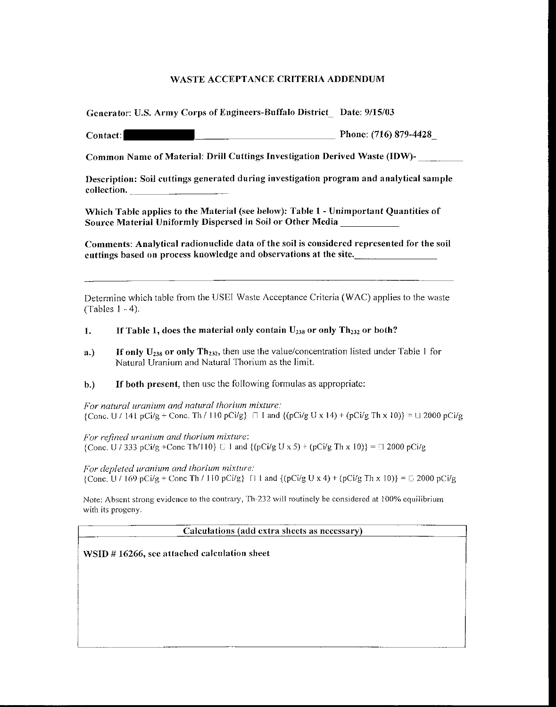Generator: U.S. Army Corps of Engineers-Buffalo District\_ Date: 9/IS/03

Contact: **Example 2018** Phone: (716) 879-4428

Common Name of Material: Drill Cuttings Investigation Derived Waste (IDW)- \_\_\_ \_

Description: Soil cuttings generated during investigation program and analytical sample collection.

Which Table applies to the Material (see below): Table I- Unimportant Quantities of Source Material Uniformly Dispersed in Soil or Other Media

Comments: Analytical radionuclide data of the soil is considered represented for the soil cuttings based on process knowledge and observations at the site.

Determine which table from the USEI Waste Acceptance Criteria (WAC) applies to the waste (Tables 1 - 4).

## 1. If Table 1, does the material only contain  $U_{238}$  or only Th<sub>232</sub> or both?

- a.) If only  $U_{238}$  or only Th<sub>232</sub>, then use the value/concentration listed under Table 1 for Natural Uranium and Natural Thorium as the limit.
- b.) If both present, then use the following formulas as appropriate:

*For natural uranium and natural thorium mixture:*   ${\text{Cone. U}}/141 \text{ pCi/g} + {\text{Cone. Th}}/110 \text{ pCi/g}$   $\Box$  I and  ${\text{pCi/g U x 14}} + {\text{pCi/g Th x 10}} = \Box 2000 \text{ pCi/g}$ 

*For refined uranium and thorium mixture:*  {Cone. U / 333 pCi/g +Cone Th/110}  $\Box$  1 and {(pCi/g U x 5) + (pCi/g Th x 10)} =  $\Box$  2000 pCi/g

*For depleted uranium and thorium mixture:*  {Cone. U / 169 pCi/g + Cone Th / 110 pCi/g}  $\{$  l and  $\{$  (pCi/g U x 4) + (pCi/g Th x 10) $\} = \sqrt{2000}$  pCi/g

Note: Absent strong evidence to the contrary, Th-232 will routinely be considered at 100% equilibrium with its progeny.

Calculations (add extra sheets as necessary)

WSID # 16266, see attached calculation sheet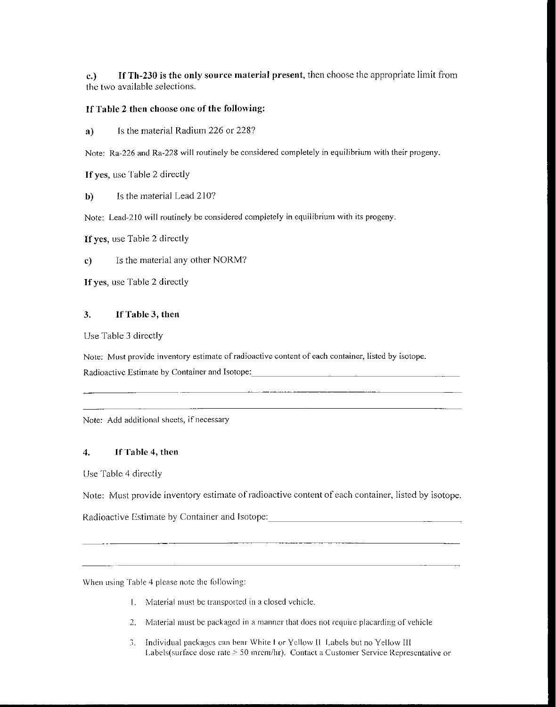c.) If Th-230 is the only source material present, then choose the appropriate limit from the two available selections.

## If Table 2 then choose one of the following:

a) Is the material Radium 226 or 228?

Note: Ra-226 and Ra-228 will routinely be considered completely in equilibrium with their progeny.

If yes, usc Table 2 directly

b) Is the material Lead 210?

Note: Lead-210 will routinely be considered completely in equilibrium with its progeny.

If yes, use Table 2 directly

c) Is the material any other NORM?

If yes, use Table 2 directly

## 3. If Table 3, then

Use Table 3 directly

Note: Must provide inventory estimate of radioactive content of each container, listed by isotope. Radioactive Estimate by Container and Isotope:

Note: Add additional sheets, if necessary

## 4. If Table 4, then

Use Table 4 directly

Note: Must provide inventory estimate of radioactive content of each container, listed by isotope.

Radioactive Estimate by Container and Isotope:

When using Table 4 please note the following:

- \. :VIaterialmust be transported in a closed vehicle.
- 2. Material must be packaged in a manner that does not require placarding of vehicle
- ). Individual packages can bear White I or Yellow II Labels but no Yellow If[ Labels( surface dose rate> 50 mrcm/hr). Contact a Customer Service Representative or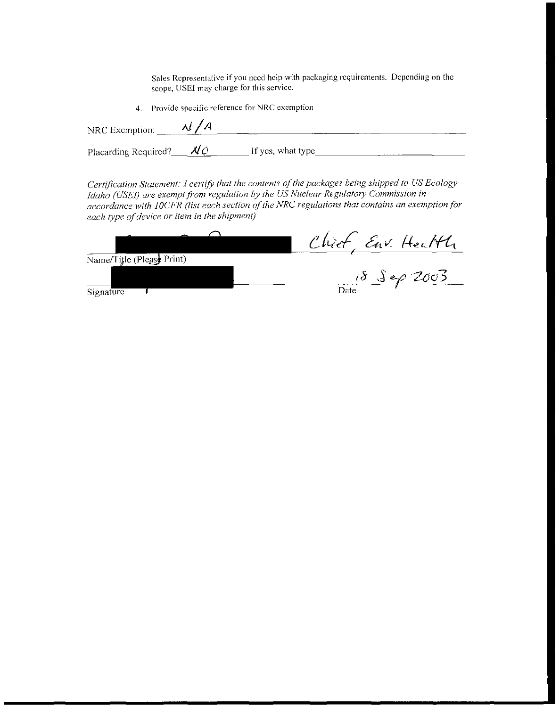**Sales Representative if you need help with packaging requirements. Depending on the scope, USEI may charge for this service.** 

**4. Provide specific reference for NRC exemption** 

| NRC Exemption: $\frac{\mathcal{A}}{\mathcal{A}}$ |                   |
|--------------------------------------------------|-------------------|
| Placarding Required? $\mathcal{N}$ O             | If yes, what type |

*Certification Statement: I certifY that the contents of the packages being shipped to US Ecology Idaho (USEI) are exempt from regulation by the US Nuclear Regulatory Commission in accordance with 1 OCFR (list each section of the NRC regulations that contains an exemption for each type ofdevice or item in the shipment)* 

|                           | Chief Env. Health     |
|---------------------------|-----------------------|
| Name/Title (Please Print) |                       |
|                           | $18 \text{ J}$ $2003$ |
| Sionature                 | Date                  |

**Signature**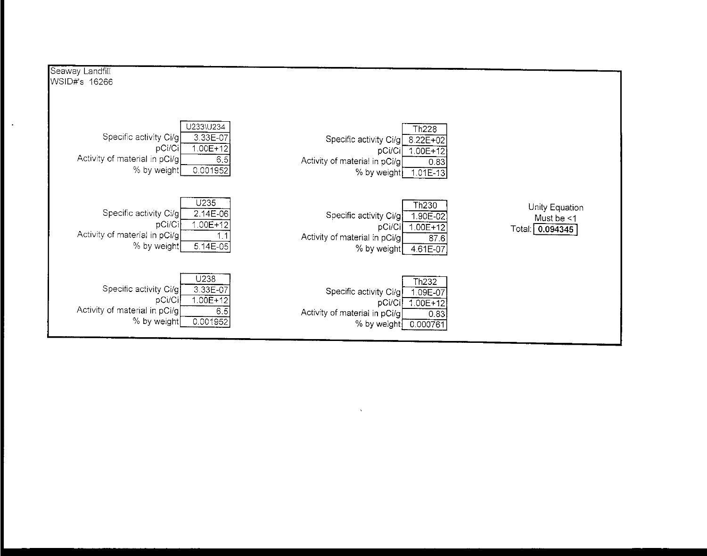| Seaway Landfill                                                                                                                              |                                                                                                                                                         |                                                    |
|----------------------------------------------------------------------------------------------------------------------------------------------|---------------------------------------------------------------------------------------------------------------------------------------------------------|----------------------------------------------------|
| WSID#'s 16266                                                                                                                                |                                                                                                                                                         |                                                    |
| U233\U234<br>$3.33E-07$<br>Specific activity Ci/g<br>pCi/Ci<br>$1.00E+12$<br>Activity of material in pCi/g<br>65<br>% by weight<br>0.001952  | Th <sub>228</sub><br>Specific activity Ci/g<br>$8.22E+02$<br>$1.00E+12$<br>pCi/Ci<br>Activity of material in pCi/g<br>0.83<br>% by weight<br>$1.01E-13$ |                                                    |
| U235<br>Specific activity Ci/g <br>$2.14E-06$<br>$1.00E + 12$<br>pCi/Ci<br>Activity of material in pCi/g<br>1.1<br>% by weight<br>$5.14E-05$ | Th <sub>230</sub><br>Specific activity Ci/g<br>1.90E-02<br>$1.00E+12$<br>pCi/Ci<br>Activity of material in pCi/g<br>87.6<br>% by weight<br>4.61E-07     | Unity Equation<br>Must be $<$ 1<br>Total: 0.094345 |
| U238<br>Specific activity Ci/g<br>3.33E-07<br>$1.00E+12$<br>pCi/Ci<br>Activity of material in pCi/g<br>6.5<br>% by weight<br>0.001952        | Th <sub>232</sub><br>Specific activity Ci/g<br>1.09E-07<br>$1.00E+12$<br>pCi/Ci<br>Activity of material in pCi/g<br>0.83<br>% by weight<br>0.000761     |                                                    |

 $\Delta$ 

 $\ddot{\phantom{a}}$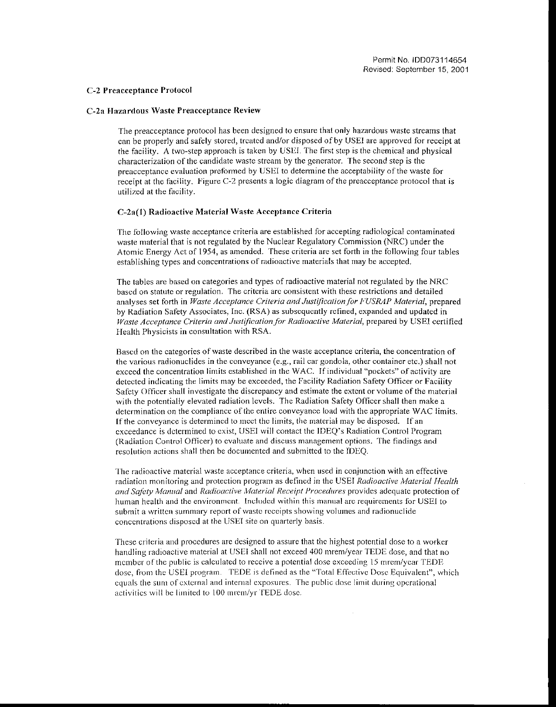#### C-2 Preacccptance Protocol

#### C-2a Hazardous Waste Preacceptance Review

The preacccptance protocol has been designed to ensure that only hazardous waste streams that can be properly and safely stored, treated and/or disposed of by USEI are approved for receipt at the facility. A two-step approach is taken by USE!. The first step is the chemical and physical characterization of the candidate waste stream by the generator. The second step is the preacceptance evaluation preformed by USEI to determine the acceptability of the waste for receipt at the facility. Figure C-2 presents a logic diagram of the preacceptance protocol that is utilized at the facility.

#### C-2a(l) Radioactive Material \Vaste Acceptance Criteria

The following waste acceptance criteria are established for accepting radiological contaminated waste material that is not regulated by the Nuclear Regulatory Commission (NRC) under the Atomic Energy Act of 1954, as amended. These criteria are set forth in the following four tables establishing types and concentrations of radioactive materials that may be accepted.

The tables are based on categories and types of radioactive material not regulated by the NRC based on statute or regulation. The criteria arc consistent with these restrictions and detailed analyses set forth in *Waste Acceptance Criteria and Justification for FUSRAP Material,* prepared by Radiation Safety Associates, Inc. (RSA) as subsequently refined, expanded and updated in *Waste Acceptance Criteria and Justification for Radioactive Afaterial,* prepared by USEI certified Health Physicists in consultation with RSA.

Based on the categories of waste described in the waste acceptance criteria, the concentration of the various radionuclides in the conveyance (e.g., rail car gondola, other container etc.) shall not exceed the concentration limits established in theW A C. If individual "pockets" of activity are detected indicating the limits may be exceeded, the Facility Radiation Safety Officer or Facility Safety Officer shall investigate the discrepancy and estimate the extent or volume of the material with the potentially elevated radiation levels. The Radiation Safety Officer shall then make a determination on the compliance of the entire conveyance load with the appropriate WAC limits. If the conveyance is determined to meet the limits, the material may be disposed. If an cxceedancc is determined to exist, USEI will contact the IDEQ's Radiation Control Program (Radiation Control Officer) to evaluate and discuss management options. The findings and resolution actions shall then be documented and submitted to the IDEQ.

The radioactive material waste acceptance criteria, when used in conjunction with an effective radiation monitoring and protection program as defined in the USEI *Radioactive Material Health and Safety Manual and Radioactive Material Receipt Procedures provides adequate protection of* human health and the environment. Included within this manual are requirements for USEI to submit a written summary report of waste receipts showing volumes and radionuclide concentrations disposed at the USEI site on quarterly basis.

These criteria and procedures arc designed to assure that the highest potential dose to a worker handling radioactive material at USEI shall not exceed 400 mrem/year TEDE dose, and that no member of the public is calculated to receive a potential dose exceeding 15 mrem/year TEDE dose, from the USEI program. TEDE is defined as the "Total Effective Dose Equivalent", which equals the sum of external and internal exposures. The public dose limit during operational activities wil! be limited to I 00 mrem/yr TEDE dose.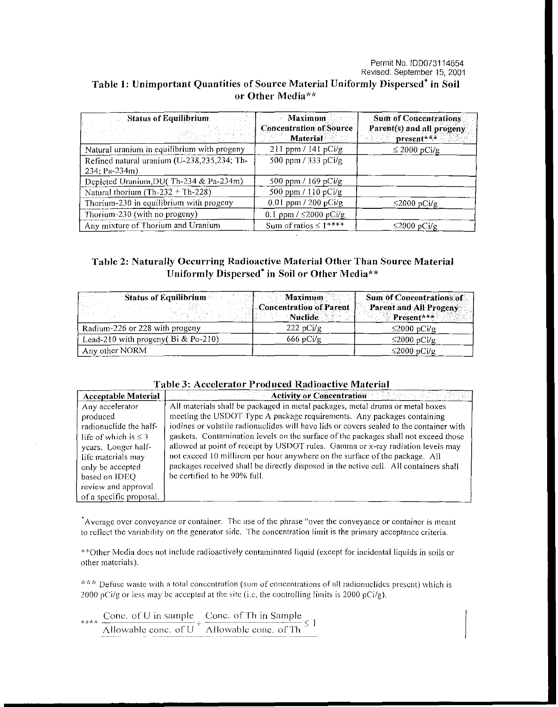### Permit No. 100073114654 Revised: September 15, 2001

# Table 1: Unimportant Quantities of Source Material Uniformly Dispersed\* in Soil or Other Media\*\*

| <b>Status of Equilibrium</b>                                 | <b>Maximum</b>                                    | <b>Sum of Concentrations</b>            |
|--------------------------------------------------------------|---------------------------------------------------|-----------------------------------------|
|                                                              | <b>Concentration of Source</b><br><b>Material</b> | Parent(s) and all progeny<br>present*** |
| Natural uranium in equilibrium with progeny                  | $211$ ppm / $141$ pCi/g                           | $\leq$ 2000 pCi/g                       |
| Refined natural uranium (U-238,235,234; Th-<br>234; Pa-234m) | 500 ppm / 333 pCi/g                               |                                         |
| Depleted Uranium, DU(Th-234 & Pa-234m)                       | 500 ppm / 169 pCi/g                               |                                         |
| Natural thorium (Th-232 + Th-228)                            | 500 ppm / 110 pCi/g                               |                                         |
| Thorium-230 in equilibrium with progeny                      | 0.01 ppm / 200 pCi/g                              | $\leq$ 2000 pCi/g                       |
| Thorium-230 (with no progeny)                                | 0.1 ppm $/$ $\leq$ 2000 pCi/g                     |                                         |
| Any mixture of Thorium and Uranium                           | Sum of ratios $\leq 1***$                         | $\leq$ 2000 pCi/g                       |

## Table 2: Naturally Occurring Radioactive Material Other Than Source Material Uniformly Dispersed\* in Soil or Other Media\*\*

| <b>Status of Equilibrium</b>           | <b>Maximum</b>                            | <b>Sum of Concentrations of</b>      |
|----------------------------------------|-------------------------------------------|--------------------------------------|
| i talah se                             | Concentration of Parent<br><b>Nuclide</b> | Parent and All Progeny<br>Present*** |
| Radium-226 or 228 with progeny         | 222 pCi/g                                 | $\leq$ 2000 pCi/g                    |
| Lead-210 with progeny( $Bi & Po-210$ ) | $666$ pCi/g                               | $\leq$ 2000 pCi/g                    |
| Any other NORM                         |                                           | ≤2000 pCi/g                          |

## Table 3· Accelerator Produced Radioactive Material

| <b>Acceptable Material</b> | おんあたい<br><b>Activity or Concentration</b>                                               |
|----------------------------|-----------------------------------------------------------------------------------------|
| Any accelerator            | All materials shall be packaged in metal packages, metal drums or metal boxes           |
| produced                   | meeting the USDOT Type A package requirements. Any packages containing                  |
| radionuclide the half-     | iodines or volatile radionuclides will have lids or covers sealed to the container with |
| life of which is $\leq$ 3  | gaskets. Contamination levels on the surface of the packages shall not exceed those     |
| years. Longer half-        | allowed at point of receipt by USDOT rules. Gamma or x-ray radiation levels may         |
| life materials may         | not exceed 10 millirem per hour anywhere on the surface of the package. All             |
| only be accepted           | packages received shall be directly disposed in the active cell. All containers shall   |
| based on IDEQ              | be certified to be 90% full.                                                            |
| review and approval        |                                                                                         |
| of a specific proposal.    |                                                                                         |

\*Average over conveyance or container. The use of the phrase "over the conveyance or container is meant to reflect the variability on the generator side. The concentration limit is the primary acceptance criteria.

\*\*Other Media does not include radioactively contaminated liquid (except for incidental liquids in soils or other materials).

\*\*\* Defuse waste with a total concentration (sum of concentrations of all radionuclides present) which is 2000 pCi/g or less may be accepted at the site (i.e, the controlling limits is  $2000$  pCi/g).

\*\*\*\* Cone. of U in sample Cone. of Th in Sample  $\frac{1}{\text{Allowable cone. of U}} + \frac{1}{\text{Allowable cone. of Th}} \leq 1$